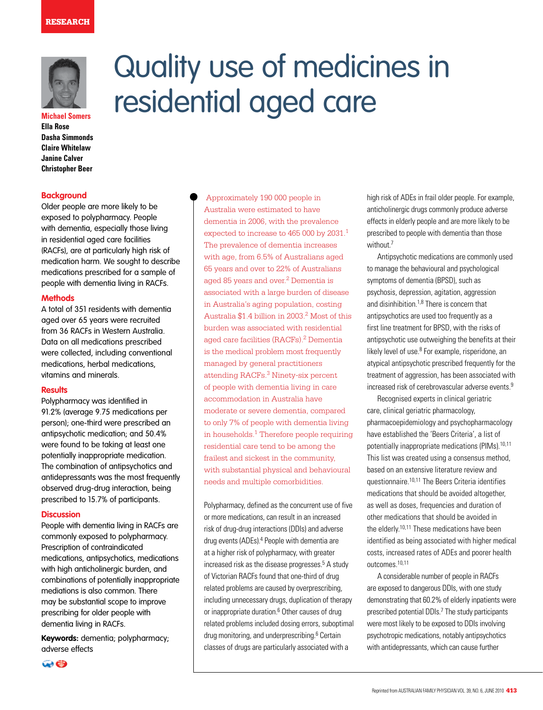

**Michael Somers Ella Rose Dasha Simmonds Claire Whitelaw Janine Calver Christopher Beer**

#### **Background**

Older people are more likely to be exposed to polypharmacy. People with dementia, especially those living in residential aged care facilities (RACFs), are at particularly high risk of medication harm. We sought to describe medications prescribed for a sample of people with dementia living in RACFs.

### **Methods**

A total of 351 residents with dementia aged over 65 years were recruited from 36 RACFs in Western Australia. Data on all medications prescribed were collected, including conventional medications, herbal medications, vitamins and minerals.

#### **Results**

Polypharmacy was identified in 91.2% (average 9.75 medications per person); one-third were prescribed an antipsychotic medication; and 50.4% were found to be taking at least one potentially inappropriate medication. The combination of antipsychotics and antidepressants was the most frequently observed drug-drug interaction, being prescribed to 15.7% of participants.

### **Discussion**

People with dementia living in RACFs are commonly exposed to polypharmacy. Prescription of contraindicated medications, antipsychotics, medications with high anticholinergic burden, and combinations of potentially inappropriate mediations is also common. There may be substantial scope to improve prescribing for older people with dementia living in RACFs.

**Keywords:** dementia; polypharmacy; adverse effects

# Quality use of medicines in residential aged care

 Approximately 190 000 people in Australia were estimated to have dementia in 2006, with the prevalence expected to increase to 465 000 by 2031.<sup>1</sup> The prevalence of dementia increases with age, from 6.5% of Australians aged 65 years and over to 22% of Australians aged 85 years and over.<sup>2</sup> Dementia is associated with a large burden of disease in Australia's aging population, costing Australia \$1.4 billion in 2003.2 Most of this burden was associated with residential aged care facilities (RACFs).<sup>2</sup> Dementia is the medical problem most frequently managed by general practitioners attending RACFs.3 Ninety-six percent of people with dementia living in care accommodation in Australia have moderate or severe dementia, compared to only 7% of people with dementia living in households.1 Therefore people requiring residential care tend to be among the frailest and sickest in the community, with substantial physical and behavioural needs and multiple comorbidities.

Polypharmacy, defined as the concurrent use of five or more medications, can result in an increased risk of drug-drug interactions (DDIs) and adverse drug events (ADEs).<sup>4</sup> People with dementia are at a higher risk of polypharmacy, with greater increased risk as the disease progresses.<sup>5</sup> A study of Victorian RACFs found that one-third of drug related problems are caused by overprescribing, including unnecessary drugs, duplication of therapy or inappropriate duration.<sup>6</sup> Other causes of drug related problems included dosing errors, suboptimal drug monitoring, and underprescribing.<sup>6</sup> Certain classes of drugs are particularly associated with a

high risk of ADEs in frail older people. For example, anticholinergic drugs commonly produce adverse effects in elderly people and are more likely to be prescribed to people with dementia than those without.7

Antipsychotic medications are commonly used to manage the behavioural and psychological symptoms of dementia (BPSD), such as psychosis, depression, agitation, aggression and disinhibition.1,8 There is concern that antipsychotics are used too frequently as a first line treatment for BPSD, with the risks of antipsychotic use outweighing the benefits at their likely level of use.<sup>8</sup> For example, risperidone, an atypical antipsychotic prescribed frequently for the treatment of aggression, has been associated with increased risk of cerebrovascular adverse events.9

Recognised experts in clinical geriatric care, clinical geriatric pharmacology, pharmacoepidemiology and psychopharmacology have established the 'Beers Criteria', a list of potentially inappropriate medications (PIMs).<sup>10,11</sup> This list was created using a consensus method, based on an extensive literature review and questionnaire.10,11 The Beers Criteria identifies medications that should be avoided altogether, as well as doses, frequencies and duration of other medications that should be avoided in the elderly.10,11 These medications have been identified as being associated with higher medical costs, increased rates of ADEs and poorer health outcomes.10,11

A considerable number of people in RACFs are exposed to dangerous DDIs, with one study demonstrating that 60.2% of elderly inpatients were prescribed potential DDIs.<sup>7</sup> The study participants were most likely to be exposed to DDIs involving psychotropic medications, notably antipsychotics with antidepressants, which can cause further

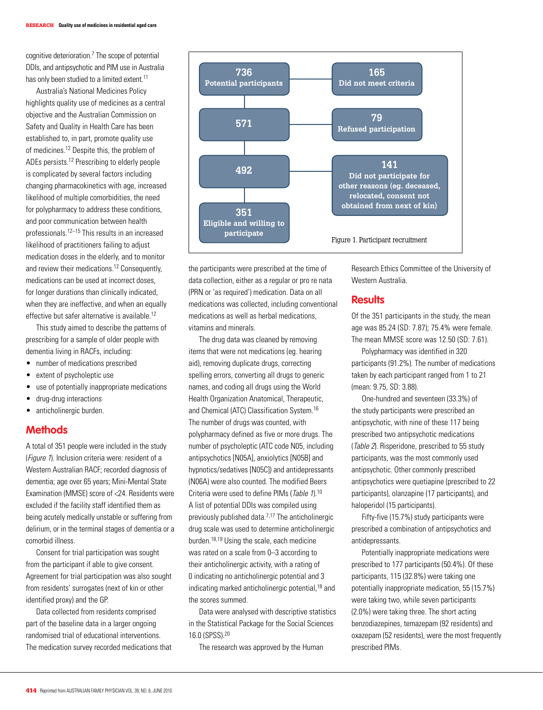cognitive deterioration.7 The scope of potential DDIs, and antipsychotic and PIM use in Australia has only been studied to a limited extent.<sup>11</sup>

Australia's National Medicines Policy highlights quality use of medicines as a central objective and the Australian Commission on Safety and Quality in Health Care has been established to, in part, promote quality use of medicines.<sup>12</sup> Despite this, the problem of ADEs persists.12 Prescribing to elderly people is complicated by several factors including changing pharmacokinetics with age, increased likelihood of multiple comorbidities, the need for polypharmacy to address these conditions, and poor communication between health professionals.12–15 This results in an increased likelihood of practitioners failing to adjust medication doses in the elderly, and to monitor and review their medications.<sup>12</sup> Consequently, medications can be used at incorrect doses, for longer durations than clinically indicated, when they are ineffective, and when an equally effective but safer alternative is available.12

This study aimed to describe the patterns of prescribing for a sample of older people with dementia living in RACFs, including:

- number of medications prescribed
- extent of psycholeptic use
- use of potentially inappropriate medications
- drug-drug interactions
- anticholinergic burden.

# **Methods**

A total of 351 people were included in the study (*Figure 1*). Inclusion criteria were: resident of a Western Australian RACF; recorded diagnosis of dementia; age over 65 years; Mini-Mental State Examination (MMSE) score of <24. Residents were excluded if the facility staff identified them as being acutely medically unstable or suffering from delirium, or in the terminal stages of dementia or a comorbid illness.

Consent for trial participation was sought from the participant if able to give consent. Agreement for trial participation was also sought from residents' surrogates (next of kin or other identified proxy) and the GP.

Data collected from residents comprised part of the baseline data in a larger ongoing randomised trial of educational interventions. The medication survey recorded medications that



the participants were prescribed at the time of data collection, either as a regular or pro re nata (PRN or 'as required') medication. Data on all medications was collected, including conventional medications as well as herbal medications, vitamins and minerals.

The drug data was cleaned by removing items that were not medications (eg. hearing aid), removing duplicate drugs, correcting spelling errors, converting all drugs to generic names, and coding all drugs using the World Health Organization Anatomical, Therapeutic, and Chemical (ATC) Classification System.16 The number of drugs was counted, with polypharmacy defined as five or more drugs. The number of psycholeptic (ATC code N05, including antipsychotics [N05A], anxiolytics [N05B] and hypnotics/sedatives [N05C]) and antidepressants (N06A) were also counted. The modified Beers Criteria were used to define PIMs (Table 1).<sup>10</sup> A list of potential DDIs was compiled using previously published data.7,17 The anticholinergic drug scale was used to determine anticholinergic burden.<sup>18,19</sup> Using the scale, each medicine was rated on a scale from 0–3 according to their anticholinergic activity, with a rating of 0 indicating no anticholinergic potential and 3 indicating marked anticholinergic potential,<sup>18</sup> and the scores summed.

Data were analysed with descriptive statistics in the Statistical Package for the Social Sciences 16.0 (SPSS).20

The research was approved by the Human

Research Ethics Committee of the University of Western Australia.

# **Results**

Of the 351 participants in the study, the mean age was 85.24 (SD: 7.87); 75.4% were female. The mean MMSE score was 12.50 (SD: 7.61).

Polypharmacy was identified in 320 participants (91.2%). The number of medications taken by each participant ranged from 1 to 21 (mean: 9.75, SD: 3.88).

One-hundred and seventeen (33.3%) of the study participants were prescribed an antipsychotic, with nine of these 117 being prescribed two antipsychotic medications (Table 2). Risperidone, prescribed to 55 study participants, was the most commonly used antipsychotic. Other commonly prescribed antipsychotics were quetiapine (prescribed to 22 participants), olanzapine (17 participants), and haloperidol (15 participants).

Fifty-five (15.7%) study participants were prescribed a combination of antipsychotics and antidepressants.

Potentially inappropriate medications were prescribed to 177 participants (50.4%). Of these participants, 115 (32.8%) were taking one potentially inappropriate medication, 55 (15.7%) were taking two, while seven participants (2.0%) were taking three. The short acting benzodiazepines, temazepam (92 residents) and oxazepam (52 residents), were the most frequently prescribed PIMs.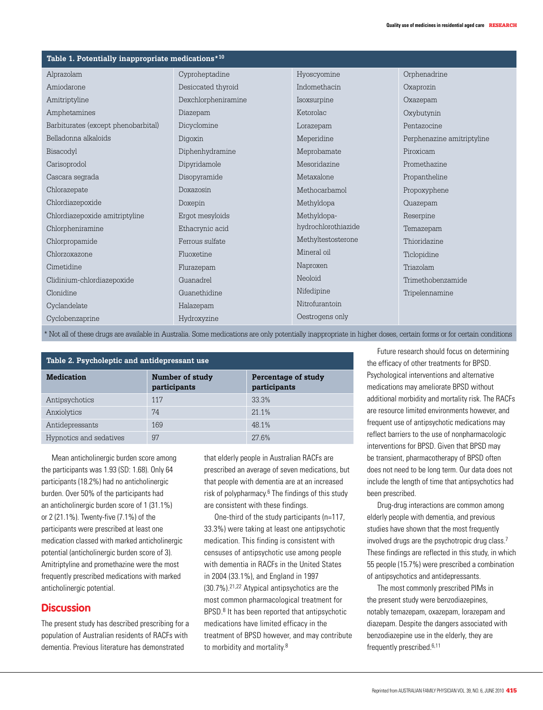| Table 1. Potentially inappropriate medications*10 |                     |                     |                            |  |
|---------------------------------------------------|---------------------|---------------------|----------------------------|--|
| Alprazolam                                        | Cyproheptadine      | Hyoscyomine         | Orphenadrine               |  |
| Amiodarone                                        | Desiccated thyroid  | Indomethacin        | Oxaprozin                  |  |
| Amitriptyline                                     | Dexchlorpheniramine | Isoxsurpine         | Oxazepam                   |  |
| Amphetamines                                      | Diazepam            | Ketorolac           | Oxybutynin                 |  |
| Barbiturates (except phenobarbital)               | Dicyclomine         | Lorazepam           | Pentazocine                |  |
| Belladonna alkaloids                              | Digoxin             | Meperidine          | Perphenazine amitriptyline |  |
| Bisacodyl                                         | Diphenhydramine     | Meprobamate         | Piroxicam                  |  |
| Carisoprodol                                      | Dipyridamole        | Mesoridazine        | Promethazine               |  |
| Cascara segrada                                   | Disopyramide        | Metaxalone          | Propantheline              |  |
| Chlorazepate                                      | Doxazosin           | Methocarbamol       | Propoxyphene               |  |
| Chlordiazepoxide                                  | Doxepin             | Methyldopa          | Quazepam                   |  |
| Chlordiazepoxide amitriptyline                    | Ergot mesyloids     | Methyldopa-         | Reserpine                  |  |
| Chlorpheniramine                                  | Ethacrynic acid     | hydrochlorothiazide | Temazepam                  |  |
| Chlorpropamide                                    | Ferrous sulfate     | Methyltestosterone  | Thioridazine               |  |
| Chlorzoxazone                                     | Fluoxetine          | Mineral oil         | Ticlopidine                |  |
| Cimetidine                                        | Flurazepam          | Naproxen            | Triazolam                  |  |
| Clidinium-chlordiazepoxide                        | Guanadrel           | Neoloid             | Trimethobenzamide          |  |
| Clonidine                                         | Guanethidine        | Nifedipine          | Tripelennamine             |  |
| Cyclandelate                                      | Halazepam           | Nitrofurantoin      |                            |  |
| Cyclobenzaprine                                   | Hydroxyzine         | Oestrogens only     |                            |  |

\* Not all of these drugs are available in Australia. Some medications are only potentially inappropriate in higher doses, certain forms or for certain conditions

| Table 2. Psycholeptic and antidepressant use |                                 |                                     |  |  |
|----------------------------------------------|---------------------------------|-------------------------------------|--|--|
| <b>Medication</b>                            | Number of study<br>participants | Percentage of study<br>participants |  |  |
| Antipsychotics                               | 117                             | 33.3%                               |  |  |
| Anxiolytics                                  | 74                              | 21.1%                               |  |  |
| Antidepressants                              | 169                             | 48.1%                               |  |  |
| Hypnotics and sedatives                      | 97                              | 276%                                |  |  |

Mean anticholinergic burden score among the participants was 1.93 (SD: 1.68). Only 64 participants (18.2%) had no anticholinergic burden. Over 50% of the participants had an anticholinergic burden score of 1 (31.1%) or 2 (21.1%). Twenty-five (7.1%) of the participants were prescribed at least one medication classed with marked anticholinergic potential (anticholinergic burden score of 3). Amitriptyline and promethazine were the most frequently prescribed medications with marked anticholinergic potential.

# **Discussion**

The present study has described prescribing for a population of Australian residents of RACFs with dementia. Previous literature has demonstrated

that elderly people in Australian RACFs are prescribed an average of seven medications, but that people with dementia are at an increased risk of polypharmacy.<sup>6</sup> The findings of this study are consistent with these findings.

One-third of the study participants (n=117, 33.3%) were taking at least one antipsychotic medication. This finding is consistent with censuses of antipsychotic use among people with dementia in RACFs in the United States in 2004 (33.1%), and England in 1997 (30.7%).21,22 Atypical antipsychotics are the most common pharmacological treatment for BPSD.<sup>8</sup> It has been reported that antipsychotic medications have limited efficacy in the treatment of BPSD however, and may contribute to morbidity and mortality.<sup>8</sup>

Future research should focus on determining the efficacy of other treatments for BPSD. Psychological interventions and alternative medications may ameliorate BPSD without additional morbidity and mortality risk. The RACFs are resource limited environments however, and frequent use of antipsychotic medications may reflect barriers to the use of nonpharmacologic interventions for BPSD. Given that BPSD may be transient, pharmacotherapy of BPSD often does not need to be long term. Our data does not include the length of time that antipsychotics had been prescribed.

Drug-drug interactions are common among elderly people with dementia, and previous studies have shown that the most frequently involved drugs are the psychotropic drug class.<sup>7</sup> These findings are reflected in this study, in which 55 people (15.7%) were prescribed a combination of antipsychotics and antidepressants.

The most commonly prescribed PIMs in the present study were benzodiazepines, notably temazepam, oxazepam, lorazepam and diazepam. Despite the dangers associated with benzodiazepine use in the elderly, they are frequently prescribed.<sup>6,11</sup>